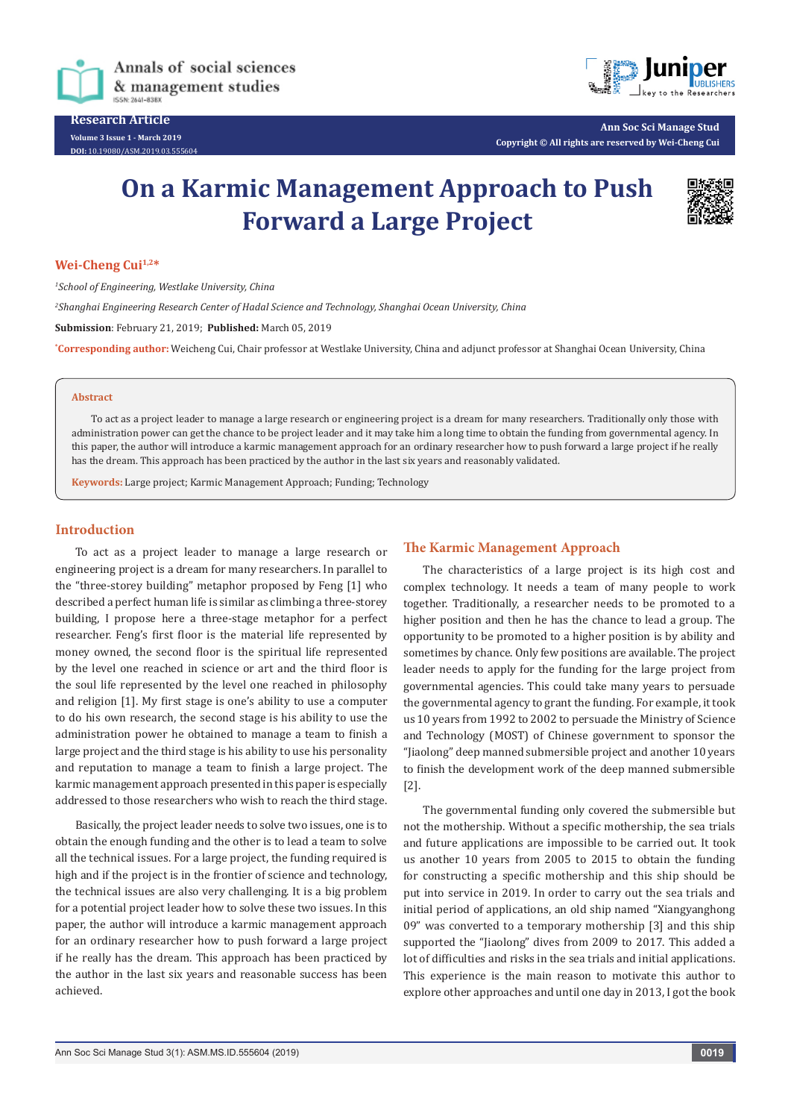

**Research Article Volume 3 Issue 1 - March 2019 DOI:** [10.19080/ASM.2019.03.555604](http://dx.doi.org/10.19080/ASM.2019.03.555604
)



**Ann Soc Sci Manage Stud Copyright © All rights are reserved by Wei-Cheng Cui**

# **On a Karmic Management Approach to Push Forward a Large Project**



## **Wei-Cheng Cui1,2\***

*1 School of Engineering, Westlake University, China 2 Shanghai Engineering Research Center of Hadal Science and Technology, Shanghai Ocean University, China* **Submission**: February 21, 2019; **Published:** March 05, 2019 **\* Corresponding author:** Weicheng Cui, Chair professor at Westlake University, China and adjunct professor at Shanghai Ocean University, China

### **Abstract**

To act as a project leader to manage a large research or engineering project is a dream for many researchers. Traditionally only those with administration power can get the chance to be project leader and it may take him a long time to obtain the funding from governmental agency. In this paper, the author will introduce a karmic management approach for an ordinary researcher how to push forward a large project if he really has the dream. This approach has been practiced by the author in the last six years and reasonably validated.

**Keywords:** Large project; Karmic Management Approach; Funding; Technology

## **Introduction**

To act as a project leader to manage a large research or engineering project is a dream for many researchers. In parallel to the "three-storey building" metaphor proposed by Feng [1] who described a perfect human life is similar as climbing a three-storey building, I propose here a three-stage metaphor for a perfect researcher. Feng's first floor is the material life represented by money owned, the second floor is the spiritual life represented by the level one reached in science or art and the third floor is the soul life represented by the level one reached in philosophy and religion [1]. My first stage is one's ability to use a computer to do his own research, the second stage is his ability to use the administration power he obtained to manage a team to finish a large project and the third stage is his ability to use his personality and reputation to manage a team to finish a large project. The karmic management approach presented in this paper is especially addressed to those researchers who wish to reach the third stage.

Basically, the project leader needs to solve two issues, one is to obtain the enough funding and the other is to lead a team to solve all the technical issues. For a large project, the funding required is high and if the project is in the frontier of science and technology, the technical issues are also very challenging. It is a big problem for a potential project leader how to solve these two issues. In this paper, the author will introduce a karmic management approach for an ordinary researcher how to push forward a large project if he really has the dream. This approach has been practiced by the author in the last six years and reasonable success has been achieved.

## **The Karmic Management Approach**

The characteristics of a large project is its high cost and complex technology. It needs a team of many people to work together. Traditionally, a researcher needs to be promoted to a higher position and then he has the chance to lead a group. The opportunity to be promoted to a higher position is by ability and sometimes by chance. Only few positions are available. The project leader needs to apply for the funding for the large project from governmental agencies. This could take many years to persuade the governmental agency to grant the funding. For example, it took us 10 years from 1992 to 2002 to persuade the Ministry of Science and Technology (MOST) of Chinese government to sponsor the "Jiaolong" deep manned submersible project and another 10 years to finish the development work of the deep manned submersible [2].

The governmental funding only covered the submersible but not the mothership. Without a specific mothership, the sea trials and future applications are impossible to be carried out. It took us another 10 years from 2005 to 2015 to obtain the funding for constructing a specific mothership and this ship should be put into service in 2019. In order to carry out the sea trials and initial period of applications, an old ship named "Xiangyanghong 09" was converted to a temporary mothership [3] and this ship supported the "Jiaolong" dives from 2009 to 2017. This added a lot of difficulties and risks in the sea trials and initial applications. This experience is the main reason to motivate this author to explore other approaches and until one day in 2013, I got the book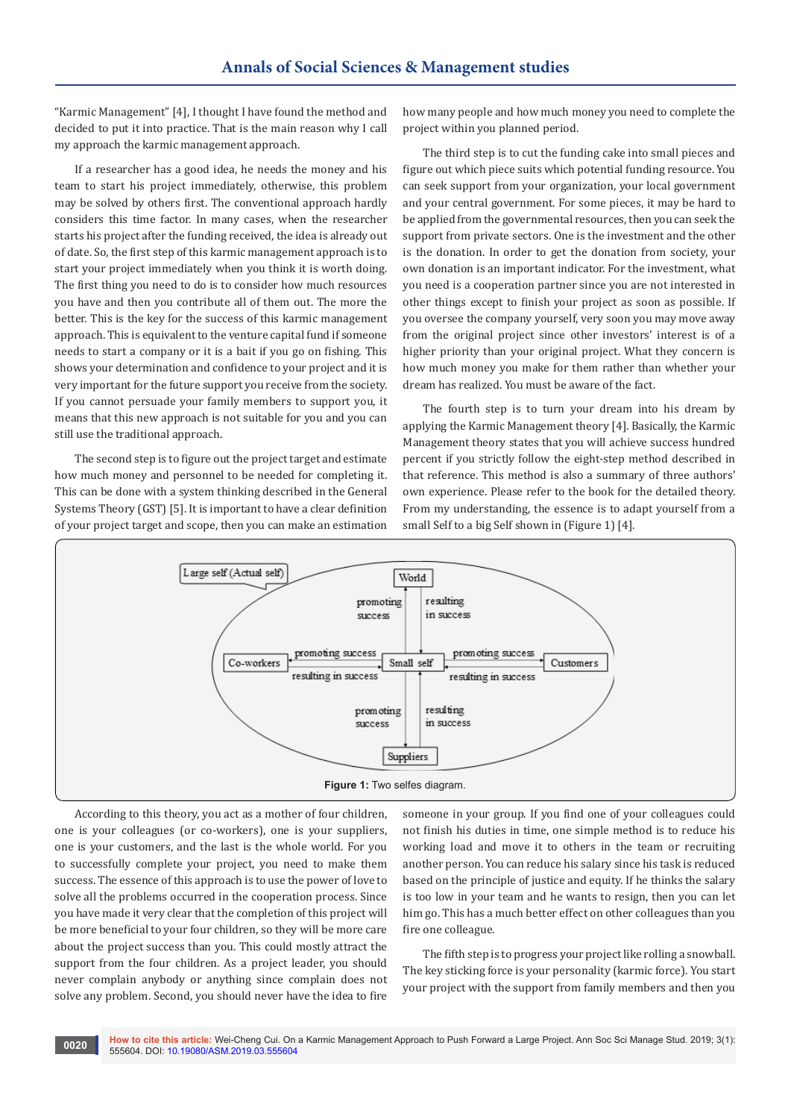"Karmic Management" [4], I thought I have found the method and decided to put it into practice. That is the main reason why I call my approach the karmic management approach.

If a researcher has a good idea, he needs the money and his team to start his project immediately, otherwise, this problem may be solved by others first. The conventional approach hardly considers this time factor. In many cases, when the researcher starts his project after the funding received, the idea is already out of date. So, the first step of this karmic management approach is to start your project immediately when you think it is worth doing. The first thing you need to do is to consider how much resources you have and then you contribute all of them out. The more the better. This is the key for the success of this karmic management approach. This is equivalent to the venture capital fund if someone needs to start a company or it is a bait if you go on fishing. This shows your determination and confidence to your project and it is very important for the future support you receive from the society. If you cannot persuade your family members to support you, it means that this new approach is not suitable for you and you can still use the traditional approach.

The second step is to figure out the project target and estimate how much money and personnel to be needed for completing it. This can be done with a system thinking described in the General Systems Theory (GST) [5]. It is important to have a clear definition of your project target and scope, then you can make an estimation

how many people and how much money you need to complete the project within you planned period.

The third step is to cut the funding cake into small pieces and figure out which piece suits which potential funding resource. You can seek support from your organization, your local government and your central government. For some pieces, it may be hard to be applied from the governmental resources, then you can seek the support from private sectors. One is the investment and the other is the donation. In order to get the donation from society, your own donation is an important indicator. For the investment, what you need is a cooperation partner since you are not interested in other things except to finish your project as soon as possible. If you oversee the company yourself, very soon you may move away from the original project since other investors' interest is of a higher priority than your original project. What they concern is how much money you make for them rather than whether your dream has realized. You must be aware of the fact.

The fourth step is to turn your dream into his dream by applying the Karmic Management theory [4]. Basically, the Karmic Management theory states that you will achieve success hundred percent if you strictly follow the eight-step method described in that reference. This method is also a summary of three authors' own experience. Please refer to the book for the detailed theory. From my understanding, the essence is to adapt yourself from a small Self to a big Self shown in (Figure 1) [4].



According to this theory, you act as a mother of four children, one is your colleagues (or co-workers), one is your suppliers, one is your customers, and the last is the whole world. For you to successfully complete your project, you need to make them success. The essence of this approach is to use the power of love to solve all the problems occurred in the cooperation process. Since you have made it very clear that the completion of this project will be more beneficial to your four children, so they will be more care about the project success than you. This could mostly attract the support from the four children. As a project leader, you should never complain anybody or anything since complain does not solve any problem. Second, you should never have the idea to fire

someone in your group. If you find one of your colleagues could not finish his duties in time, one simple method is to reduce his working load and move it to others in the team or recruiting another person. You can reduce his salary since his task is reduced based on the principle of justice and equity. If he thinks the salary is too low in your team and he wants to resign, then you can let him go. This has a much better effect on other colleagues than you fire one colleague.

The fifth step is to progress your project like rolling a snowball. The key sticking force is your personality (karmic force). You start your project with the support from family members and then you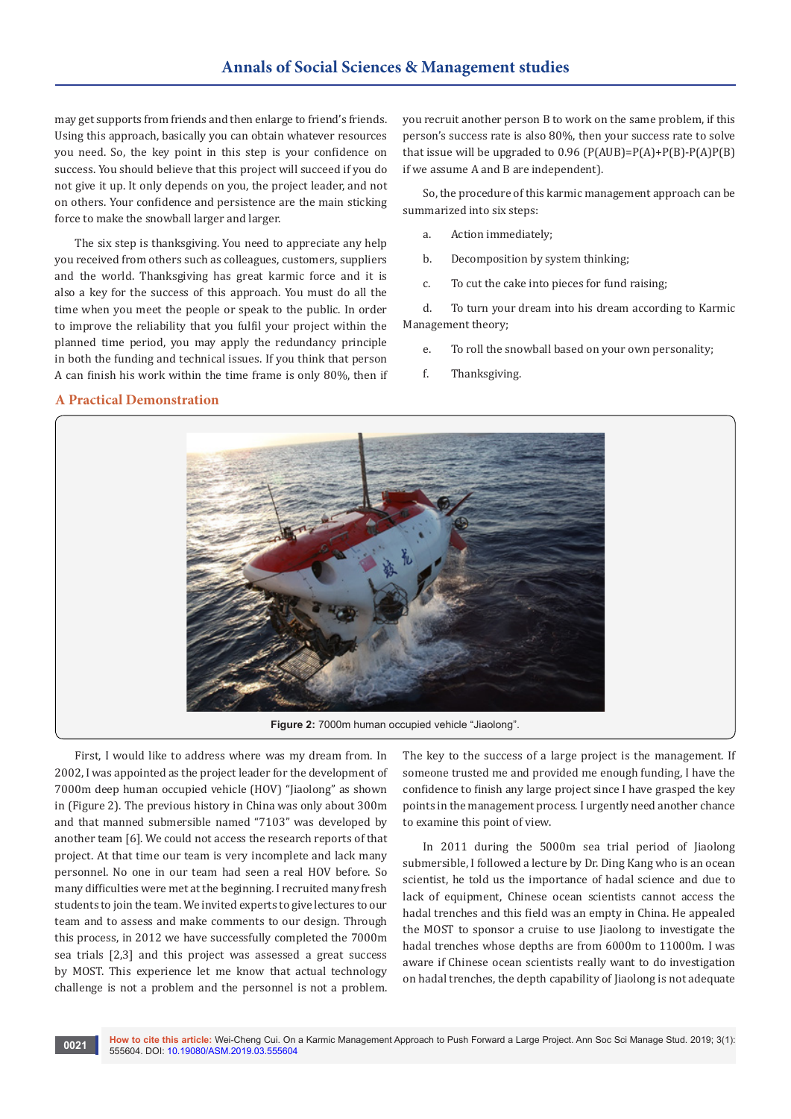may get supports from friends and then enlarge to friend's friends. Using this approach, basically you can obtain whatever resources you need. So, the key point in this step is your confidence on success. You should believe that this project will succeed if you do not give it up. It only depends on you, the project leader, and not on others. Your confidence and persistence are the main sticking force to make the snowball larger and larger.

The six step is thanksgiving. You need to appreciate any help you received from others such as colleagues, customers, suppliers and the world. Thanksgiving has great karmic force and it is also a key for the success of this approach. You must do all the time when you meet the people or speak to the public. In order to improve the reliability that you fulfil your project within the planned time period, you may apply the redundancy principle in both the funding and technical issues. If you think that person A can finish his work within the time frame is only 80%, then if you recruit another person B to work on the same problem, if this person's success rate is also 80%, then your success rate to solve that issue will be upgraded to  $0.96$  (P(AUB)=P(A)+P(B)-P(A)P(B) if we assume A and B are independent).

So, the procedure of this karmic management approach can be summarized into six steps:

- a. Action immediately;
- b. Decomposition by system thinking;
- c. To cut the cake into pieces for fund raising;

d. To turn your dream into his dream according to Karmic Management theory;

- e. To roll the snowball based on your own personality;
- f. Thanksgiving.

# **A Practical Demonstration**



First, I would like to address where was my dream from. In 2002, I was appointed as the project leader for the development of 7000m deep human occupied vehicle (HOV) "Jiaolong" as shown in (Figure 2). The previous history in China was only about 300m and that manned submersible named "7103" was developed by another team [6]. We could not access the research reports of that project. At that time our team is very incomplete and lack many personnel. No one in our team had seen a real HOV before. So many difficulties were met at the beginning. I recruited many fresh students to join the team. We invited experts to give lectures to our team and to assess and make comments to our design. Through this process, in 2012 we have successfully completed the 7000m sea trials [2,3] and this project was assessed a great success by MOST. This experience let me know that actual technology challenge is not a problem and the personnel is not a problem.

The key to the success of a large project is the management. If someone trusted me and provided me enough funding, I have the confidence to finish any large project since I have grasped the key points in the management process. I urgently need another chance to examine this point of view.

In 2011 during the 5000m sea trial period of Jiaolong submersible, I followed a lecture by Dr. Ding Kang who is an ocean scientist, he told us the importance of hadal science and due to lack of equipment, Chinese ocean scientists cannot access the hadal trenches and this field was an empty in China. He appealed the MOST to sponsor a cruise to use Jiaolong to investigate the hadal trenches whose depths are from 6000m to 11000m. I was aware if Chinese ocean scientists really want to do investigation on hadal trenches, the depth capability of Jiaolong is not adequate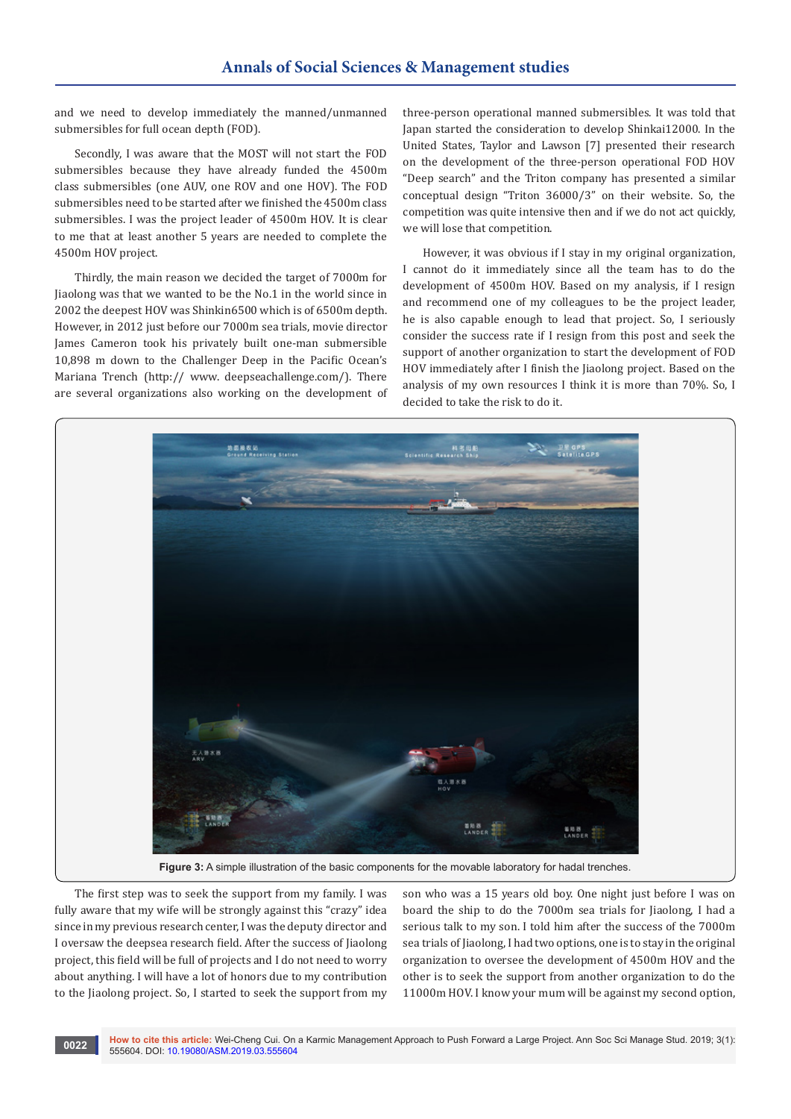and we need to develop immediately the manned/unmanned submersibles for full ocean depth (FOD).

Secondly, I was aware that the MOST will not start the FOD submersibles because they have already funded the 4500m class submersibles (one AUV, one ROV and one HOV). The FOD submersibles need to be started after we finished the 4500m class submersibles. I was the project leader of 4500m HOV. It is clear to me that at least another 5 years are needed to complete the 4500m HOV project.

Thirdly, the main reason we decided the target of 7000m for Jiaolong was that we wanted to be the No.1 in the world since in 2002 the deepest HOV was Shinkin6500 which is of 6500m depth. However, in 2012 just before our 7000m sea trials, movie director James Cameron took his privately built one-man submersible 10,898 m down to the Challenger Deep in the Pacific Ocean's Mariana Trench (http:// www. deepseachallenge.com/). There are several organizations also working on the development of three-person operational manned submersibles. It was told that Japan started the consideration to develop Shinkai12000. In the United States, Taylor and Lawson [7] presented their research on the development of the three-person operational FOD HOV "Deep search" and the Triton company has presented a similar conceptual design "Triton 36000/3" on their website. So, the competition was quite intensive then and if we do not act quickly, we will lose that competition.

However, it was obvious if I stay in my original organization, I cannot do it immediately since all the team has to do the development of 4500m HOV. Based on my analysis, if I resign and recommend one of my colleagues to be the project leader, he is also capable enough to lead that project. So, I seriously consider the success rate if I resign from this post and seek the support of another organization to start the development of FOD HOV immediately after I finish the Jiaolong project. Based on the analysis of my own resources I think it is more than 70%. So, I decided to take the risk to do it.



**Figure 3:** A simple illustration of the basic components for the movable laboratory for hadal trenches.

The first step was to seek the support from my family. I was fully aware that my wife will be strongly against this "crazy" idea since in my previous research center, I was the deputy director and I oversaw the deepsea research field. After the success of Jiaolong project, this field will be full of projects and I do not need to worry about anything. I will have a lot of honors due to my contribution to the Jiaolong project. So, I started to seek the support from my

son who was a 15 years old boy. One night just before I was on board the ship to do the 7000m sea trials for Jiaolong. I had a serious talk to my son. I told him after the success of the 7000m sea trials of Jiaolong, I had two options, one is to stay in the original organization to oversee the development of 4500m HOV and the other is to seek the support from another organization to do the 11000m HOV. I know your mum will be against my second option,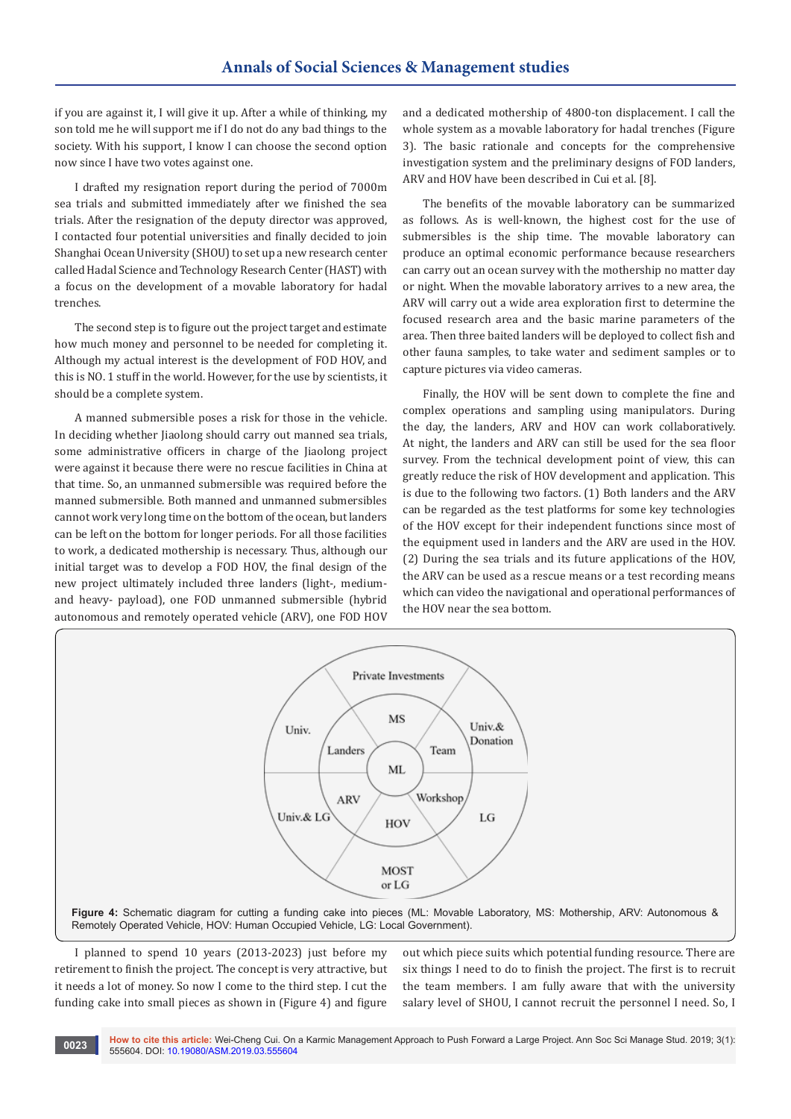if you are against it, I will give it up. After a while of thinking, my son told me he will support me if I do not do any bad things to the society. With his support, I know I can choose the second option now since I have two votes against one.

I drafted my resignation report during the period of 7000m sea trials and submitted immediately after we finished the sea trials. After the resignation of the deputy director was approved, I contacted four potential universities and finally decided to join Shanghai Ocean University (SHOU) to set up a new research center called Hadal Science and Technology Research Center (HAST) with a focus on the development of a movable laboratory for hadal trenches.

The second step is to figure out the project target and estimate how much money and personnel to be needed for completing it. Although my actual interest is the development of FOD HOV, and this is NO. 1 stuff in the world. However, for the use by scientists, it should be a complete system.

A manned submersible poses a risk for those in the vehicle. In deciding whether Jiaolong should carry out manned sea trials, some administrative officers in charge of the Jiaolong project were against it because there were no rescue facilities in China at that time. So, an unmanned submersible was required before the manned submersible. Both manned and unmanned submersibles cannot work very long time on the bottom of the ocean, but landers can be left on the bottom for longer periods. For all those facilities to work, a dedicated mothership is necessary. Thus, although our initial target was to develop a FOD HOV, the final design of the new project ultimately included three landers (light-, mediumand heavy- payload), one FOD unmanned submersible (hybrid autonomous and remotely operated vehicle (ARV), one FOD HOV

and a dedicated mothership of 4800-ton displacement. I call the whole system as a movable laboratory for hadal trenches (Figure 3). The basic rationale and concepts for the comprehensive investigation system and the preliminary designs of FOD landers, ARV and HOV have been described in Cui et al. [8].

The benefits of the movable laboratory can be summarized as follows. As is well-known, the highest cost for the use of submersibles is the ship time. The movable laboratory can produce an optimal economic performance because researchers can carry out an ocean survey with the mothership no matter day or night. When the movable laboratory arrives to a new area, the ARV will carry out a wide area exploration first to determine the focused research area and the basic marine parameters of the area. Then three baited landers will be deployed to collect fish and other fauna samples, to take water and sediment samples or to capture pictures via video cameras.

Finally, the HOV will be sent down to complete the fine and complex operations and sampling using manipulators. During the day, the landers, ARV and HOV can work collaboratively. At night, the landers and ARV can still be used for the sea floor survey. From the technical development point of view, this can greatly reduce the risk of HOV development and application. This is due to the following two factors. (1) Both landers and the ARV can be regarded as the test platforms for some key technologies of the HOV except for their independent functions since most of the equipment used in landers and the ARV are used in the HOV. (2) During the sea trials and its future applications of the HOV, the ARV can be used as a rescue means or a test recording means which can video the navigational and operational performances of the HOV near the sea bottom.



I planned to spend 10 years (2013-2023) just before my retirement to finish the project. The concept is very attractive, but it needs a lot of money. So now I come to the third step. I cut the funding cake into small pieces as shown in (Figure 4) and figure

out which piece suits which potential funding resource. There are six things I need to do to finish the project. The first is to recruit the team members. I am fully aware that with the university salary level of SHOU, I cannot recruit the personnel I need. So, I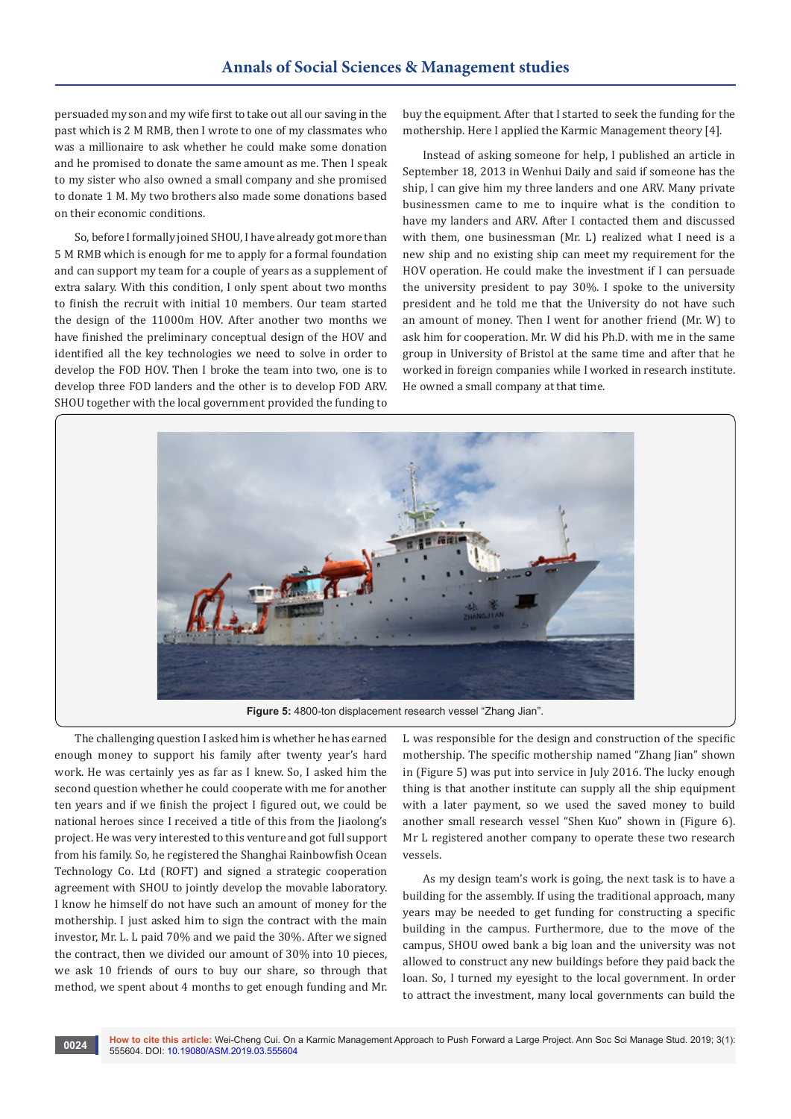persuaded my son and my wife first to take out all our saving in the past which is 2 M RMB, then I wrote to one of my classmates who was a millionaire to ask whether he could make some donation and he promised to donate the same amount as me. Then I speak to my sister who also owned a small company and she promised to donate 1 M. My two brothers also made some donations based on their economic conditions.

So, before I formally joined SHOU, I have already got more than 5 M RMB which is enough for me to apply for a formal foundation and can support my team for a couple of years as a supplement of extra salary. With this condition, I only spent about two months to finish the recruit with initial 10 members. Our team started the design of the 11000m HOV. After another two months we have finished the preliminary conceptual design of the HOV and identified all the key technologies we need to solve in order to develop the FOD HOV. Then I broke the team into two, one is to develop three FOD landers and the other is to develop FOD ARV. SHOU together with the local government provided the funding to

buy the equipment. After that I started to seek the funding for the mothership. Here I applied the Karmic Management theory [4].

Instead of asking someone for help, I published an article in September 18, 2013 in Wenhui Daily and said if someone has the ship, I can give him my three landers and one ARV. Many private businessmen came to me to inquire what is the condition to have my landers and ARV. After I contacted them and discussed with them, one businessman (Mr. L) realized what I need is a new ship and no existing ship can meet my requirement for the HOV operation. He could make the investment if I can persuade the university president to pay 30%. I spoke to the university president and he told me that the University do not have such an amount of money. Then I went for another friend (Mr. W) to ask him for cooperation. Mr. W did his Ph.D. with me in the same group in University of Bristol at the same time and after that he worked in foreign companies while I worked in research institute. He owned a small company at that time.



The challenging question I asked him is whether he has earned enough money to support his family after twenty year's hard work. He was certainly yes as far as I knew. So, I asked him the second question whether he could cooperate with me for another ten years and if we finish the project I figured out, we could be national heroes since I received a title of this from the Jiaolong's project. He was very interested to this venture and got full support from his family. So, he registered the Shanghai Rainbowfish Ocean Technology Co. Ltd (ROFT) and signed a strategic cooperation agreement with SHOU to jointly develop the movable laboratory. I know he himself do not have such an amount of money for the mothership. I just asked him to sign the contract with the main investor, Mr. L. L paid 70% and we paid the 30%. After we signed the contract, then we divided our amount of 30% into 10 pieces, we ask 10 friends of ours to buy our share, so through that method, we spent about 4 months to get enough funding and Mr.

L was responsible for the design and construction of the specific mothership. The specific mothership named "Zhang Jian" shown in (Figure 5) was put into service in July 2016. The lucky enough thing is that another institute can supply all the ship equipment with a later payment, so we used the saved money to build another small research vessel "Shen Kuo" shown in (Figure 6). Mr L registered another company to operate these two research vessels.

As my design team's work is going, the next task is to have a building for the assembly. If using the traditional approach, many years may be needed to get funding for constructing a specific building in the campus. Furthermore, due to the move of the campus, SHOU owed bank a big loan and the university was not allowed to construct any new buildings before they paid back the loan. So, I turned my eyesight to the local government. In order to attract the investment, many local governments can build the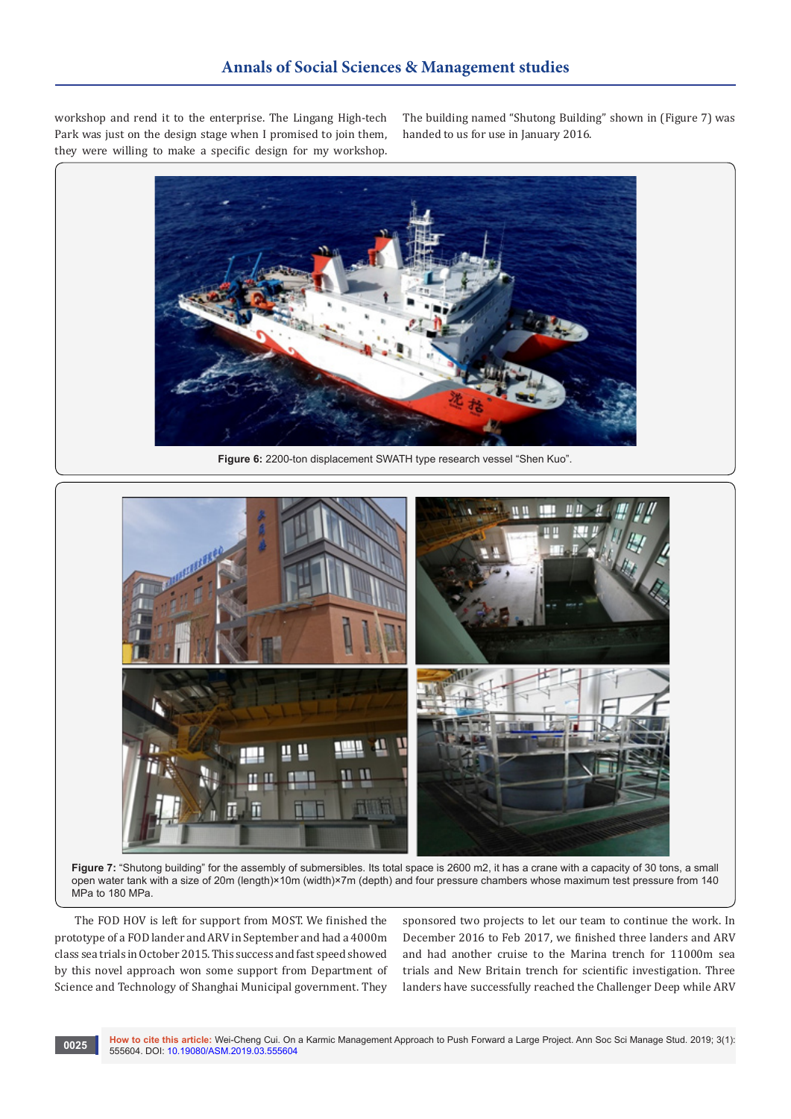workshop and rend it to the enterprise. The Lingang High-tech Park was just on the design stage when I promised to join them, they were willing to make a specific design for my workshop.

The building named "Shutong Building" shown in (Figure 7) was handed to us for use in January 2016.



**Figure 6:** 2200-ton displacement SWATH type research vessel "Shen Kuo".



**Figure 7:** "Shutong building" for the assembly of submersibles. Its total space is 2600 m2, it has a crane with a capacity of 30 tons, a small open water tank with a size of 20m (length)×10m (width)×7m (depth) and four pressure chambers whose maximum test pressure from 140 MPa to 180 MPa.

The FOD HOV is left for support from MOST. We finished the prototype of a FOD lander and ARV in September and had a 4000m class sea trials in October 2015. This success and fast speed showed by this novel approach won some support from Department of Science and Technology of Shanghai Municipal government. They

sponsored two projects to let our team to continue the work. In December 2016 to Feb 2017, we finished three landers and ARV and had another cruise to the Marina trench for 11000m sea trials and New Britain trench for scientific investigation. Three landers have successfully reached the Challenger Deep while ARV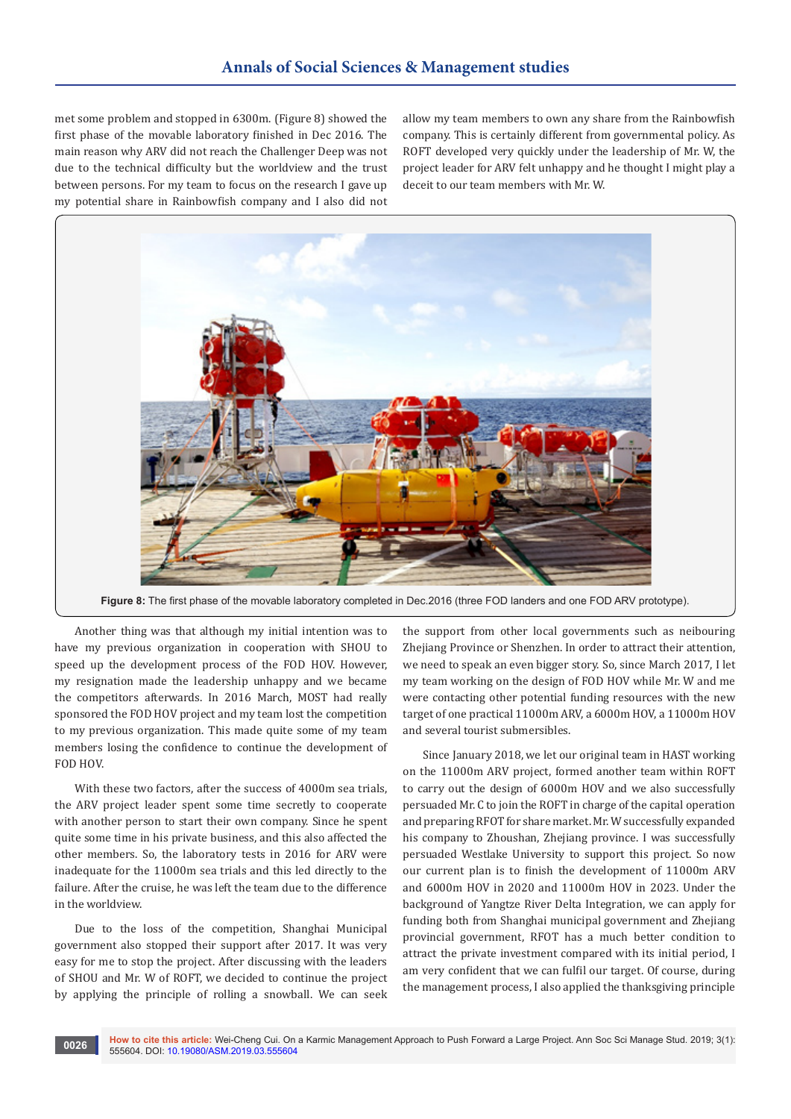met some problem and stopped in 6300m. (Figure 8) showed the first phase of the movable laboratory finished in Dec 2016. The main reason why ARV did not reach the Challenger Deep was not due to the technical difficulty but the worldview and the trust between persons. For my team to focus on the research I gave up my potential share in Rainbowfish company and I also did not

allow my team members to own any share from the Rainbowfish company. This is certainly different from governmental policy. As ROFT developed very quickly under the leadership of Mr. W, the project leader for ARV felt unhappy and he thought I might play a deceit to our team members with Mr. W.



**Figure 8:** The first phase of the movable laboratory completed in Dec.2016 (three FOD landers and one FOD ARV prototype).

Another thing was that although my initial intention was to have my previous organization in cooperation with SHOU to speed up the development process of the FOD HOV. However, my resignation made the leadership unhappy and we became the competitors afterwards. In 2016 March, MOST had really sponsored the FOD HOV project and my team lost the competition to my previous organization. This made quite some of my team members losing the confidence to continue the development of FOD HOV.

With these two factors, after the success of 4000m sea trials, the ARV project leader spent some time secretly to cooperate with another person to start their own company. Since he spent quite some time in his private business, and this also affected the other members. So, the laboratory tests in 2016 for ARV were inadequate for the 11000m sea trials and this led directly to the failure. After the cruise, he was left the team due to the difference in the worldview.

Due to the loss of the competition, Shanghai Municipal government also stopped their support after 2017. It was very easy for me to stop the project. After discussing with the leaders of SHOU and Mr. W of ROFT, we decided to continue the project by applying the principle of rolling a snowball. We can seek

the support from other local governments such as neibouring Zhejiang Province or Shenzhen. In order to attract their attention, we need to speak an even bigger story. So, since March 2017, I let my team working on the design of FOD HOV while Mr. W and me were contacting other potential funding resources with the new target of one practical 11000m ARV, a 6000m HOV, a 11000m HOV and several tourist submersibles.

Since January 2018, we let our original team in HAST working on the 11000m ARV project, formed another team within ROFT to carry out the design of 6000m HOV and we also successfully persuaded Mr. C to join the ROFT in charge of the capital operation and preparing RFOT for share market. Mr. W successfully expanded his company to Zhoushan, Zhejiang province. I was successfully persuaded Westlake University to support this project. So now our current plan is to finish the development of 11000m ARV and 6000m HOV in 2020 and 11000m HOV in 2023. Under the background of Yangtze River Delta Integration, we can apply for funding both from Shanghai municipal government and Zhejiang provincial government, RFOT has a much better condition to attract the private investment compared with its initial period, I am very confident that we can fulfil our target. Of course, during the management process, I also applied the thanksgiving principle